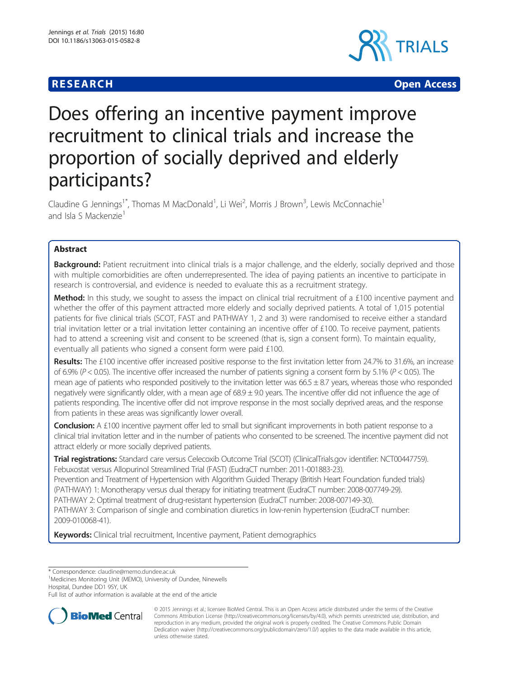# **RESEARCH CHEAR CHEAR CHEAR CHEAR CHEAR CHEAR CHEAR CHEAR CHEAR CHEAR CHEAR CHEAR CHEAR CHEAR CHEAR CHEAR CHEAR**



# Does offering an incentive payment improve recruitment to clinical trials and increase the proportion of socially deprived and elderly participants?

Claudine G Jennings<sup>1\*</sup>, Thomas M MacDonald<sup>1</sup>, Li Wei<sup>2</sup>, Morris J Brown<sup>3</sup>, Lewis McConnachie<sup>1</sup> and Isla S Mackenzie<sup>1</sup>

# Abstract

Background: Patient recruitment into clinical trials is a major challenge, and the elderly, socially deprived and those with multiple comorbidities are often underrepresented. The idea of paying patients an incentive to participate in research is controversial, and evidence is needed to evaluate this as a recruitment strategy.

Method: In this study, we sought to assess the impact on clinical trial recruitment of a £100 incentive payment and whether the offer of this payment attracted more elderly and socially deprived patients. A total of 1,015 potential patients for five clinical trials (SCOT, FAST and PATHWAY 1, 2 and 3) were randomised to receive either a standard trial invitation letter or a trial invitation letter containing an incentive offer of £100. To receive payment, patients had to attend a screening visit and consent to be screened (that is, sign a consent form). To maintain equality, eventually all patients who signed a consent form were paid £100.

Results: The £100 incentive offer increased positive response to the first invitation letter from 24.7% to 31.6%, an increase of 6.9% ( $P < 0.05$ ). The incentive offer increased the number of patients signing a consent form by 5.1% ( $P < 0.05$ ). The mean age of patients who responded positively to the invitation letter was  $66.5 \pm 8.7$  years, whereas those who responded negatively were significantly older, with a mean age of  $68.9 \pm 9.0$  years. The incentive offer did not influence the age of patients responding. The incentive offer did not improve response in the most socially deprived areas, and the response from patients in these areas was significantly lower overall.

Conclusion: A £100 incentive payment offer led to small but significant improvements in both patient response to a clinical trial invitation letter and in the number of patients who consented to be screened. The incentive payment did not attract elderly or more socially deprived patients.

Trial registrations: Standard care versus Celecoxib Outcome Trial (SCOT) (ClinicalTrials.gov identifier: [NCT00447759](https://clinicaltrials.gov/ct2/show/NCT00447759)). Febuxostat versus Allopurinol Streamlined Trial (FAST) (EudraCT number: [2011-001883-23](https://www.clinicaltrialsregister.eu/ctr-search/search?query=eudract_number:2011-001883-23)).

Prevention and Treatment of Hypertension with Algorithm Guided Therapy (British Heart Foundation funded trials) (PATHWAY) 1: Monotherapy versus dual therapy for initiating treatment (EudraCT number: [2008-007749-29\)](https://clinicaltrials.gov/ct2/show/NCT00994617). PATHWAY 2: Optimal treatment of drug-resistant hypertension (EudraCT number: [2008-007149-30\)](https://www.clinicaltrialsregister.eu/ctr-search/search?query=2008-007149-30). PATHWAY 3: Comparison of single and combination diuretics in low-renin hypertension (EudraCT number: [2009-010068-41](https://www.clinicaltrialsregister.eu/ctr-search/trial/2009-010068-41/GB)).

Keywords: Clinical trial recruitment, Incentive payment, Patient demographics

\* Correspondence: [claudine@memo.dundee.ac.uk](mailto:claudine@memo.dundee.ac.uk) <sup>1</sup>

<sup>1</sup>Medicines Monitoring Unit (MEMO), University of Dundee, Ninewells Hospital, Dundee DD1 9SY, UK

Full list of author information is available at the end of the article



© 2015 Jennings et al.; licensee BioMed Central. This is an Open Access article distributed under the terms of the Creative Commons Attribution License [\(http://creativecommons.org/licenses/by/4.0\)](http://creativecommons.org/licenses/by/4.0), which permits unrestricted use, distribution, and reproduction in any medium, provided the original work is properly credited. The Creative Commons Public Domain Dedication waiver [\(http://creativecommons.org/publicdomain/zero/1.0/](http://creativecommons.org/publicdomain/zero/1.0/)) applies to the data made available in this article, unless otherwise stated.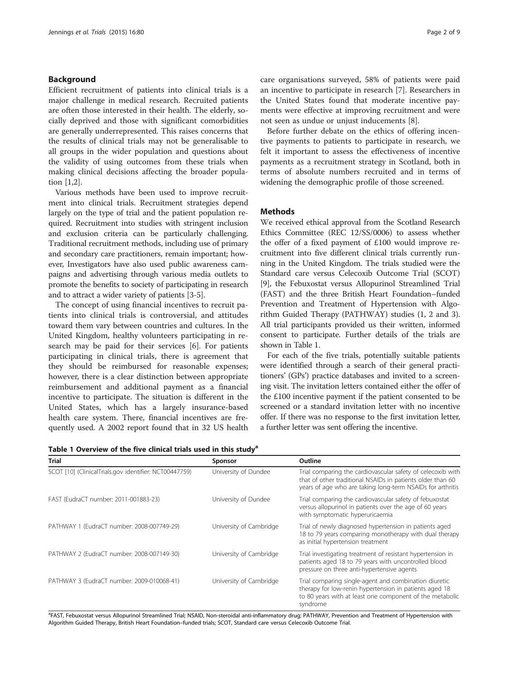# Background

Efficient recruitment of patients into clinical trials is a major challenge in medical research. Recruited patients are often those interested in their health. The elderly, socially deprived and those with significant comorbidities are generally underrepresented. This raises concerns that the results of clinical trials may not be generalisable to all groups in the wider population and questions about the validity of using outcomes from these trials when making clinical decisions affecting the broader population [\[1,2](#page-8-0)].

Various methods have been used to improve recruitment into clinical trials. Recruitment strategies depend largely on the type of trial and the patient population required. Recruitment into studies with stringent inclusion and exclusion criteria can be particularly challenging. Traditional recruitment methods, including use of primary and secondary care practitioners, remain important; however, Investigators have also used public awareness campaigns and advertising through various media outlets to promote the benefits to society of participating in research and to attract a wider variety of patients [[3-5](#page-8-0)].

The concept of using financial incentives to recruit patients into clinical trials is controversial, and attitudes toward them vary b United Kingdom, h search may be paid participating in clithey should be re however, there is a reimbursement and incentive to particip United States, which has a largely insurance-based health care system. There, financial incentives are frequently used. A 2002 report found that in 32 US health

Table 1 Overview of the five clinical trials used in this study<sup>a</sup>

| etween countries and cultures. In the   | All trial participants provided us their written, infor    |
|-----------------------------------------|------------------------------------------------------------|
| ealthy volunteers participating in re-  | consent to participate. Further details of the trials      |
| d for their services [6]. For patients  | shown in Table 1.                                          |
| nical trials, there is agreement that   | For each of the five trials, potentially suitable pat      |
| eimbursed for reasonable expenses;      | were identified through a search of their general pr       |
| clear distinction between appropriate   | tioners' (GPs') practice databases and invited to a scr    |
| d additional payment as a financial     | ing visit. The invitation letters contained either the off |
| bate. The situation is different in the | the £100 incentive payment if the patient consented t      |
|                                         |                                                            |

care organisations surveyed, 58% of patients were paid an incentive to participate in research [\[7\]](#page-8-0). Researchers in the United States found that moderate incentive payments were effective at improving recruitment and were not seen as undue or unjust inducements [[8\]](#page-8-0).

Before further debate on the ethics of offering incentive payments to patients to participate in research, we felt it important to assess the effectiveness of incentive payments as a recruitment strategy in Scotland, both in terms of absolute numbers recruited and in terms of widening the demographic profile of those screened.

## Methods

We received ethical approval from the Scotland Research Ethics Committee (REC 12/SS/0006) to assess whether the offer of a fixed payment of £100 would improve recruitment into five different clinical trials currently running in the United Kingdom. The trials studied were the Standard care versus Celecoxib Outcome Trial (SCOT) [[9\]](#page-8-0), the Febuxostat versus Allopurinol Streamlined Trial (FAST) and the three British Heart Foundation–funded Prevention and Treatment of Hypertension with Algorithm Guided Therapy (PATHWAY) studies (1, 2 and 3). All trial participants provided us their written, informed consent to participate. Further details of the trials are

For each of the five trials, potentially suitable patients were identified through a search of their general practitioners' (GPs') practice databases and invited to a screening visit. The invitation letters contained either the offer of the £100 incentive payment if the patient consented to be screened or a standard invitation letter with no incentive offer. If there was no response to the first invitation letter, a further letter was sent offering the incentive.

| <b>Trial</b>                                           | Sponsor                 | Outline                                                                                                                                                                                 |
|--------------------------------------------------------|-------------------------|-----------------------------------------------------------------------------------------------------------------------------------------------------------------------------------------|
| SCOT [10] (ClinicalTrials.gov identifier: NCT00447759) | University of Dundee    | Trial comparing the cardiovascular safety of celecoxib with<br>that of other traditional NSAIDs in patients older than 60<br>years of age who are taking long-term NSAIDs for arthritis |
| FAST (EudraCT number: 2011-001883-23)                  | University of Dundee    | Trial comparing the cardiovascular safety of febuxostat<br>versus allopurinol in patients over the age of 60 years<br>with symptomatic hyperuricaemia                                   |
| PATHWAY 1 (EudraCT number: 2008-007749-29)             | University of Cambridge | Trial of newly diagnosed hypertension in patients aged<br>18 to 79 years comparing monotherapy with dual therapy<br>as initial hypertension treatment                                   |
| PATHWAY 2 (EudraCT number: 2008-007149-30)             | University of Cambridge | Trial investigating treatment of resistant hypertension in<br>patients aged 18 to 79 years with uncontrolled blood<br>pressure on three anti-hypertensive agents                        |
| PATHWAY 3 (EudraCT number: 2009-010068-41)             | University of Cambridge | Trial comparing single-agent and combination diuretic<br>therapy for low-renin hypertension in patients aged 18<br>to 80 years with at least one component of the metabolic<br>syndrome |

a FAST, Febuxostat versus Allopurinol Streamlined Trial; NSAID, Non-steroidal anti-inflammatory drug; PATHWAY, Prevention and Treatment of Hypertension with Algorithm Guided Therapy, British Heart Foundation–funded trials; SCOT, Standard care versus Celecoxib Outcome Trial.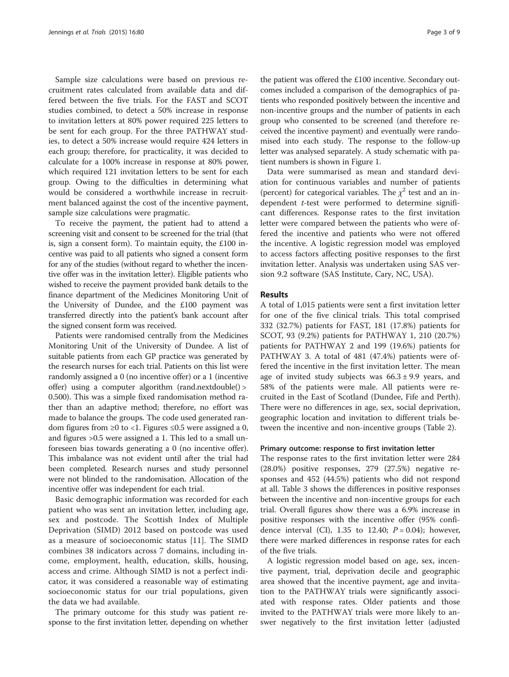Sample size calculations were based on previous recruitment rates calculated from available data and differed between the five trials. For the FAST and SCOT studies combined, to detect a 50% increase in response to invitation letters at 80% power required 225 letters to be sent for each group. For the three PATHWAY studies, to detect a 50% increase would require 424 letters in each group; therefore, for practicality, it was decided to calculate for a 100% increase in response at 80% power, which required 121 invitation letters to be sent for each group. Owing to the difficulties in determining what would be considered a worthwhile increase in recruitment balanced against the cost of the incentive payment, sample size calculations were pragmatic.

To receive the payment, the patient had to attend a screening visit and consent to be screened for the trial (that is, sign a consent form). To maintain equity, the £100 incentive was paid to all patients who signed a consent form for any of the studies (without regard to whether the incentive offer was in the invitation letter). Eligible patients who wished to receive the payment provided bank details to the finance department of the Medicines Monitoring Unit of the University of Dundee, and the £100 payment was transferred directly into the patient's bank account after the signed consent form was received.

Patients were randomised centrally from the Medicines Monitoring Unit of the University of Dundee. A list of suitable patients from each GP practice was generated by the research nurses for each trial. Patients on this list were randomly assigned a 0 (no incentive offer) or a 1 (incentive offer) using a computer algorithm (rand.nextdouble() > 0.500). This was a simple fixed randomisation method rather than an adaptive method; therefore, no effort was made to balance the groups. The code used generated random figures from ≥0 to <1. Figures ≤0.5 were assigned a 0, and figures >0.5 were assigned a 1. This led to a small unforeseen bias towards generating a 0 (no incentive offer). This imbalance was not evident until after the trial had been completed. Research nurses and study personnel were not blinded to the randomisation. Allocation of the incentive offer was independent for each trial.

Basic demographic information was recorded for each patient who was sent an invitation letter, including age, sex and postcode. The Scottish Index of Multiple Deprivation (SIMD) 2012 based on postcode was used as a measure of socioeconomic status [[11\]](#page-8-0). The SIMD combines 38 indicators across 7 domains, including income, employment, health, education, skills, housing, access and crime. Although SIMD is not a perfect indicator, it was considered a reasonable way of estimating socioeconomic status for our trial populations, given the data we had available.

The primary outcome for this study was patient response to the first invitation letter, depending on whether

the patient was offered the £100 incentive. Secondary outcomes included a comparison of the demographics of patients who responded positively between the incentive and non-incentive groups and the number of patients in each group who consented to be screened (and therefore received the incentive payment) and eventually were randomised into each study. The response to the follow-up letter was analysed separately. A study schematic with patient numbers is shown in Figure [1.](#page-3-0)

Data were summarised as mean and standard deviation for continuous variables and number of patients (percent) for categorical variables. The  $\chi^2$  test and an independent t-test were performed to determine significant differences. Response rates to the first invitation letter were compared between the patients who were offered the incentive and patients who were not offered the incentive. A logistic regression model was employed to access factors affecting positive responses to the first invitation letter. Analysis was undertaken using SAS version 9.2 software (SAS Institute, Cary, NC, USA).

## Results

A total of 1,015 patients were sent a first invitation letter for one of the five clinical trials. This total comprised 332 (32.7%) patients for FAST, 181 (17.8%) patients for SCOT, 93 (9.2%) patients for PATHWAY 1, 210 (20.7%) patients for PATHWAY 2 and 199 (19.6%) patients for PATHWAY 3. A total of 481 (47.4%) patients were offered the incentive in the first invitation letter. The mean age of invited study subjects was  $66.3 \pm 9.9$  years, and 58% of the patients were male. All patients were recruited in the East of Scotland (Dundee, Fife and Perth). There were no differences in age, sex, social deprivation, geographic location and invitation to different trials between the incentive and non-incentive groups (Table [2\)](#page-4-0).

#### Primary outcome: response to first invitation letter

The response rates to the first invitation letter were 284 (28.0%) positive responses, 279 (27.5%) negative responses and 452 (44.5%) patients who did not respond at all. Table [3](#page-5-0) shows the differences in positive responses between the incentive and non-incentive groups for each trial. Overall figures show there was a 6.9% increase in positive responses with the incentive offer (95% confidence interval (CI), 1.35 to 12.40;  $P = 0.04$ ); however, there were marked differences in response rates for each of the five trials.

A logistic regression model based on age, sex, incentive payment, trial, deprivation decile and geographic area showed that the incentive payment, age and invitation to the PATHWAY trials were significantly associated with response rates. Older patients and those invited to the PATHWAY trials were more likely to answer negatively to the first invitation letter (adjusted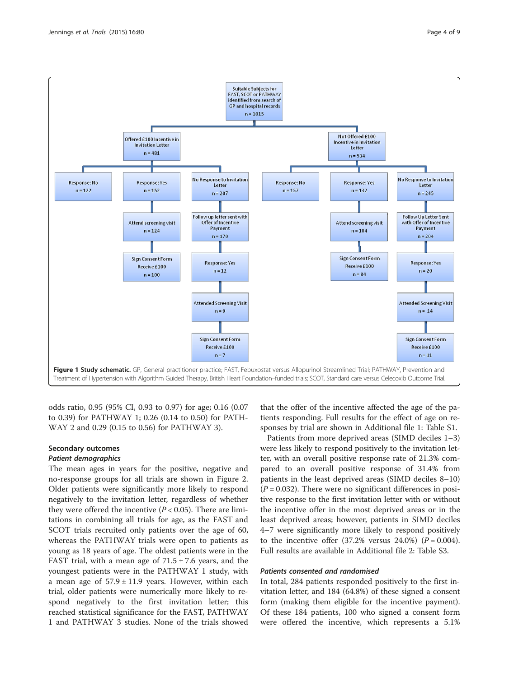<span id="page-3-0"></span>

odds ratio, 0.95 (95% CI, 0.93 to 0.97) for age; 0.16 (0.07 to 0.39) for PATHWAY 1; 0.26 (0.14 to 0.50) for PATH-WAY 2 and 0.29 (0.15 to 0.56) for PATHWAY 3).

#### Secondary outcomes Patient demographics

The mean ages in years for the positive, negative and no-response groups for all trials are shown in Figure [2](#page-6-0). Older patients were significantly more likely to respond negatively to the invitation letter, regardless of whether they were offered the incentive  $(P < 0.05)$ . There are limitations in combining all trials for age, as the FAST and SCOT trials recruited only patients over the age of 60, whereas the PATHWAY trials were open to patients as young as 18 years of age. The oldest patients were in the FAST trial, with a mean age of  $71.5 \pm 7.6$  years, and the youngest patients were in the PATHWAY 1 study, with a mean age of  $57.9 \pm 11.9$  years. However, within each trial, older patients were numerically more likely to respond negatively to the first invitation letter; this reached statistical significance for the FAST, PATHWAY 1 and PATHWAY 3 studies. None of the trials showed

that the offer of the incentive affected the age of the patients responding. Full results for the effect of age on responses by trial are shown in Additional file [1:](#page-8-0) Table S1.

Patients from more deprived areas (SIMD deciles 1–3) were less likely to respond positively to the invitation letter, with an overall positive response rate of 21.3% compared to an overall positive response of 31.4% from patients in the least deprived areas (SIMD deciles 8–10)  $(P = 0.032)$ . There were no significant differences in positive response to the first invitation letter with or without the incentive offer in the most deprived areas or in the least deprived areas; however, patients in SIMD deciles 4–7 were significantly more likely to respond positively to the incentive offer  $(37.2\% \text{ versus } 24.0\%)$   $(P = 0.004)$ . Full results are available in Additional file [2](#page-8-0): Table S3.

# Patients consented and randomised

In total, 284 patients responded positively to the first invitation letter, and 184 (64.8%) of these signed a consent form (making them eligible for the incentive payment). Of these 184 patients, 100 who signed a consent form were offered the incentive, which represents a 5.1%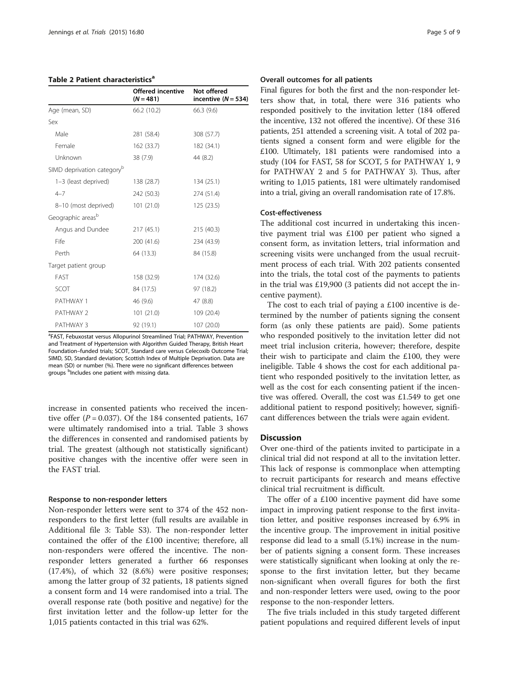#### <span id="page-4-0"></span>Table 2 Patient characteristics<sup>a</sup>

|                                        | <b>Offered incentive</b><br>$(N = 481)$ | Not offered<br>incentive $(N = 534)$ |
|----------------------------------------|-----------------------------------------|--------------------------------------|
| Age (mean, SD)                         | 66.2 (10.2)                             | 66.3 (9.6)                           |
| Sex                                    |                                         |                                      |
| Male                                   | 281 (58.4)                              | 308 (57.7)                           |
| Female                                 | 162 (33.7)                              | 182 (34.1)                           |
| Unknown                                | 38 (7.9)                                | 44 (8.2)                             |
| SIMD deprivation category <sup>b</sup> |                                         |                                      |
| 1-3 (least deprived)                   | 138 (28.7)                              | 134 (25.1)                           |
| $4 - 7$                                | 242 (50.3)                              | 274 (51.4)                           |
| 8-10 (most deprived)                   | 101(21.0)                               | 125(23.5)                            |
| Geographic areas <sup>b</sup>          |                                         |                                      |
| Angus and Dundee                       | 217(45.1)                               | 215 (40.3)                           |
| Fife                                   | 200 (41.6)                              | 234 (43.9)                           |
| Perth                                  | 64 (13.3)                               | 84 (15.8)                            |
| Target patient group                   |                                         |                                      |
| FAST                                   | 158 (32.9)                              | 174 (32.6)                           |
| SCOT                                   | 84 (17.5)                               | 97 (18.2)                            |
| PATHWAY 1                              | 46 (9.6)                                | 47 (8.8)                             |
| PATHWAY 2                              | 101(21.0)                               | 109 (20.4)                           |
| PATHWAY 3                              | 92 (19.1)                               | 107 (20.0)                           |

<sup>a</sup>FAST, Febuxostat versus Allopurinol Streamlined Trial; PATHWAY, Prevention and Treatment of Hypertension with Algorithm Guided Therapy, British Heart Foundation–funded trials; SCOT, Standard care versus Celecoxib Outcome Trial; SIMD, SD, Standard deviation; Scottish Index of Multiple Deprivation. Data are mean (SD) or number (%). There were no significant differences between groups <sup>b</sup>Includes one patient with missing data.

increase in consented patients who received the incentive offer ( $P = 0.037$ ). Of the 184 consented patients, 167 were ultimately randomised into a trial. Table [3](#page-5-0) shows the differences in consented and randomised patients by trial. The greatest (although not statistically significant) positive changes with the incentive offer were seen in the FAST trial.

#### Response to non-responder letters

Non-responder letters were sent to 374 of the 452 nonresponders to the first letter (full results are available in Additional file [3](#page-8-0): Table S3). The non-responder letter contained the offer of the £100 incentive; therefore, all non-responders were offered the incentive. The nonresponder letters generated a further 66 responses (17.4%), of which 32 (8.6%) were positive responses; among the latter group of 32 patients, 18 patients signed a consent form and 14 were randomised into a trial. The overall response rate (both positive and negative) for the first invitation letter and the follow-up letter for the 1,015 patients contacted in this trial was 62%.

#### Overall outcomes for all patients

Final figures for both the first and the non-responder letters show that, in total, there were 316 patients who responded positively to the invitation letter (184 offered the incentive, 132 not offered the incentive). Of these 316 patients, 251 attended a screening visit. A total of 202 patients signed a consent form and were eligible for the £100. Ultimately, 181 patients were randomised into a study (104 for FAST, 58 for SCOT, 5 for PATHWAY 1, 9 for PATHWAY 2 and 5 for PATHWAY 3). Thus, after writing to 1,015 patients, 181 were ultimately randomised into a trial, giving an overall randomisation rate of 17.8%.

# Cost-effectiveness

The additional cost incurred in undertaking this incentive payment trial was £100 per patient who signed a consent form, as invitation letters, trial information and screening visits were unchanged from the usual recruitment process of each trial. With 202 patients consented into the trials, the total cost of the payments to patients in the trial was £19,900 (3 patients did not accept the incentive payment).

The cost to each trial of paying a £100 incentive is determined by the number of patients signing the consent form (as only these patients are paid). Some patients who responded positively to the invitation letter did not meet trial inclusion criteria, however; therefore, despite their wish to participate and claim the £100, they were ineligible. Table [4](#page-6-0) shows the cost for each additional patient who responded positively to the invitation letter, as well as the cost for each consenting patient if the incentive was offered. Overall, the cost was £1.549 to get one additional patient to respond positively; however, significant differences between the trials were again evident.

# **Discussion**

Over one-third of the patients invited to participate in a clinical trial did not respond at all to the invitation letter. This lack of response is commonplace when attempting to recruit participants for research and means effective clinical trial recruitment is difficult.

The offer of a £100 incentive payment did have some impact in improving patient response to the first invitation letter, and positive responses increased by 6.9% in the incentive group. The improvement in initial positive response did lead to a small (5.1%) increase in the number of patients signing a consent form. These increases were statistically significant when looking at only the response to the first invitation letter, but they became non-significant when overall figures for both the first and non-responder letters were used, owing to the poor response to the non-responder letters.

The five trials included in this study targeted different patient populations and required different levels of input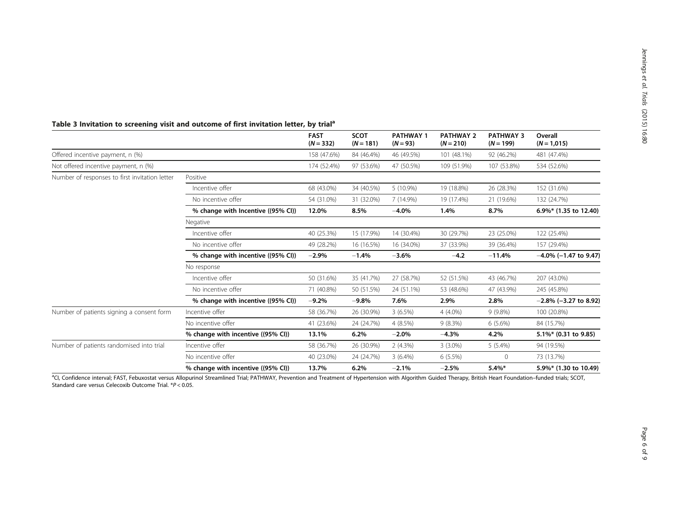|                                                |                                    | <b>FAST</b><br>$(N = 332)$ | <b>SCOT</b><br>$(N = 181)$ | <b>PATHWAY 1</b><br>$(N = 93)$ | <b>PATHWAY 2</b><br>$(N = 210)$ | <b>PATHWAY 3</b><br>$(N = 199)$ | Overall<br>$(N = 1,015)$ |
|------------------------------------------------|------------------------------------|----------------------------|----------------------------|--------------------------------|---------------------------------|---------------------------------|--------------------------|
| Offered incentive payment, n (%)               |                                    | 158 (47.6%)                | 84 (46.4%)                 | 46 (49.5%)                     | 101 (48.1%)                     | 92 (46.2%)                      | 481 (47.4%)              |
| Not offered incentive payment, n (%)           |                                    | 174 (52.4%)                | 97 (53.6%)                 | 47 (50.5%)                     | 109 (51.9%)                     | 107 (53.8%)                     | 534 (52.6%)              |
| Number of responses to first invitation letter | Positive                           |                            |                            |                                |                                 |                                 |                          |
|                                                | Incentive offer                    | 68 (43.0%)                 | 34 (40.5%)                 | 5 (10.9%)                      | 19 (18.8%)                      | 26 (28.3%)                      | 152 (31.6%)              |
|                                                | No incentive offer                 | 54 (31.0%)                 | 31 (32.0%)                 | 7 (14.9%)                      | 19 (17.4%)                      | 21 (19.6%)                      | 132 (24.7%)              |
|                                                | % change with Incentive ((95% CI)) | 12.0%                      | 8.5%                       | $-4.0%$                        | 1.4%                            | 8.7%                            | 6.9%* (1.35 to 12.40)    |
|                                                | Negative                           |                            |                            |                                |                                 |                                 |                          |
|                                                | Incentive offer                    | 40 (25.3%)                 | 15 (17.9%)                 | 14 (30.4%)                     | 30 (29.7%)                      | 23 (25.0%)                      | 122 (25.4%)              |
|                                                | No incentive offer                 | 49 (28.2%)                 | 16 (16.5%)                 | 16 (34.0%)                     | 37 (33.9%)                      | 39 (36.4%)                      | 157 (29.4%)              |
|                                                | % change with incentive ((95% CI)) | $-2.9%$                    | $-1.4%$                    | $-3.6\%$                       | $-4.2$                          | $-11.4%$                        | $-4.0\%$ (-1.47 to 9.47) |
|                                                | No response                        |                            |                            |                                |                                 |                                 |                          |
|                                                | Incentive offer                    | 50 (31.6%)                 | 35 (41.7%)                 | 27 (58.7%)                     | 52 (51.5%)                      | 43 (46.7%)                      | 207 (43.0%)              |
|                                                | No incentive offer                 | 71 (40.8%)                 | 50 (51.5%)                 | 24 (51.1%)                     | 53 (48.6%)                      | 47 (43.9%)                      | 245 (45.8%)              |
|                                                | % change with incentive ((95% CI)) | $-9.2%$                    | $-9.8%$                    | 7.6%                           | 2.9%                            | 2.8%                            | $-2.8\%$ (-3.27 to 8.92) |
| Number of patients signing a consent form      | Incentive offer                    | 58 (36.7%)                 | 26 (30.9%)                 | 3(6.5%)                        | $4(4.0\%)$                      | $9(9.8\%)$                      | 100 (20.8%)              |
|                                                | No incentive offer                 | 41 (23.6%)                 | 24 (24.7%)                 | 4(8.5%)                        | 9(8.3%)                         | $6(5.6\%)$                      | 84 (15.7%)               |
|                                                | % change with incentive ((95% CI)) | 13.1%                      | 6.2%                       | $-2.0%$                        | $-4.3%$                         | 4.2%                            | 5.1%* (0.31 to 9.85)     |
| Number of patients randomised into trial       | Incentive offer                    | 58 (36.7%)                 | 26 (30.9%)                 | 2(4.3%)                        | $3(3.0\%)$                      | $5(5.4\%)$                      | 94 (19.5%)               |
|                                                | No incentive offer                 | 40 (23.0%)                 | 24 (24.7%)                 | $3(6.4\%)$                     | 6(5.5%)                         | 0                               | 73 (13.7%)               |
|                                                | % change with incentive ((95% CI)) | 13.7%                      | 6.2%                       | $-2.1%$                        | $-2.5%$                         | $5.4\%*$                        | 5.9%* (1.30 to 10.49)    |

# <span id="page-5-0"></span>Table 3 Invitation to screening visit and outcome of first invitation letter, by trial<sup>a</sup>

acl, Confidence interval; FAST, Febuxostat versus Allopurinol Streamlined Trial; PATHWAY, Prevention and Treatment of Hypertension with Algorithm Guided Therapy, British Heart Foundation–funded trials; SCOT, Standard care versus Celecoxib Outcome Trial. \*P < 0.05.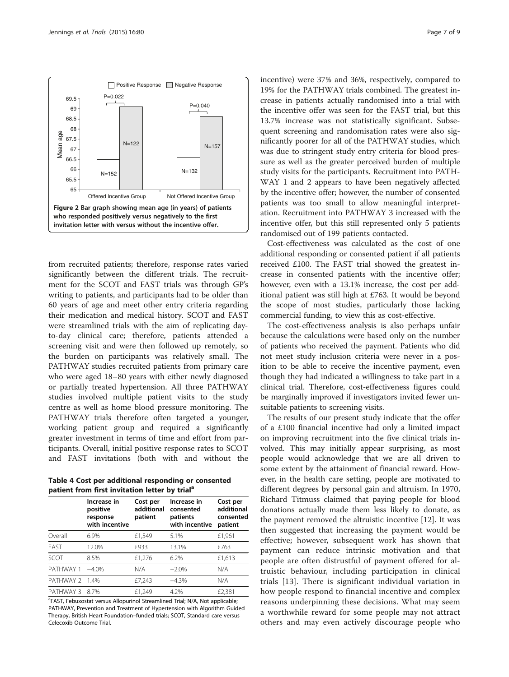<span id="page-6-0"></span>

from recruited patients; therefore, response rates varied significantly between the different trials. The recruitment for the SCOT and FAST trials was through GP's writing to patients, and participants had to be older than 60 years of age and meet other entry criteria regarding their medication and medical history. SCOT and FAST were streamlined trials with the aim of replicating dayto-day clinical care; therefore, patients attended a screening visit and were then followed up remotely, so the burden on participants was relatively small. The PATHWAY studies recruited patients from primary care who were aged 18–80 years with either newly diagnosed or partially treated hypertension. All three PATHWAY studies involved multiple patient visits to the study centre as well as home blood pressure monitoring. The PATHWAY trials therefore often targeted a younger, working patient group and required a significantly greater investment in terms of time and effort from participants. Overall, initial positive response rates to SCOT and FAST invitations (both with and without the

Table 4 Cost per additional responding or consented patient from first invitation letter by trial<sup>a</sup>

|           | Increase in<br>positive<br>response<br>with incentive | Cost per<br>additional<br>patient | Increase in<br>consented<br>patients<br>with incentive | Cost per<br>additional<br>consented<br>patient |
|-----------|-------------------------------------------------------|-----------------------------------|--------------------------------------------------------|------------------------------------------------|
| Overall   | 6.9%                                                  | £1,549                            | 5.1%                                                   | £1,961                                         |
| FAST      | 12.0%                                                 | £933                              | 13.1%                                                  | £763                                           |
| SCOT      | 8.5%                                                  | £1,276                            | 6.2%                                                   | £1,613                                         |
| PATHWAY 1 | $-4.0%$                                               | N/A                               | $-2.0%$                                                | N/A                                            |
| PATHWAY 2 | 14%                                                   | £7,243                            | $-4.3%$                                                | N/A                                            |
| PATHWAY 3 | 87%                                                   | £1.249                            | 4.2%                                                   | £2,381                                         |

<sup>a</sup>FAST, Febuxostat versus Allopurinol Streamlined Trial; N/A, Not applicable; PATHWAY, Prevention and Treatment of Hypertension with Algorithm Guided Therapy, British Heart Foundation–funded trials; SCOT, Standard care versus Celecoxib Outcome Trial.

incentive) were 37% and 36%, respectively, compared to 19% for the PATHWAY trials combined. The greatest increase in patients actually randomised into a trial with the incentive offer was seen for the FAST trial, but this 13.7% increase was not statistically significant. Subsequent screening and randomisation rates were also significantly poorer for all of the PATHWAY studies, which was due to stringent study entry criteria for blood pressure as well as the greater perceived burden of multiple study visits for the participants. Recruitment into PATH-WAY 1 and 2 appears to have been negatively affected by the incentive offer; however, the number of consented patients was too small to allow meaningful interpretation. Recruitment into PATHWAY 3 increased with the incentive offer, but this still represented only 5 patients randomised out of 199 patients contacted.

Cost-effectiveness was calculated as the cost of one additional responding or consented patient if all patients received £100. The FAST trial showed the greatest increase in consented patients with the incentive offer; however, even with a 13.1% increase, the cost per additional patient was still high at £763. It would be beyond the scope of most studies, particularly those lacking commercial funding, to view this as cost-effective.

The cost-effectiveness analysis is also perhaps unfair because the calculations were based only on the number of patients who received the payment. Patients who did not meet study inclusion criteria were never in a position to be able to receive the incentive payment, even though they had indicated a willingness to take part in a clinical trial. Therefore, cost-effectiveness figures could be marginally improved if investigators invited fewer unsuitable patients to screening visits.

The results of our present study indicate that the offer of a £100 financial incentive had only a limited impact on improving recruitment into the five clinical trials involved. This may initially appear surprising, as most people would acknowledge that we are all driven to some extent by the attainment of financial reward. However, in the health care setting, people are motivated to different degrees by personal gain and altruism. In 1970, Richard Titmuss claimed that paying people for blood donations actually made them less likely to donate, as the payment removed the altruistic incentive [[12](#page-8-0)]. It was then suggested that increasing the payment would be effective; however, subsequent work has shown that payment can reduce intrinsic motivation and that people are often distrustful of payment offered for altruistic behaviour, including participation in clinical trials [[13\]](#page-8-0). There is significant individual variation in how people respond to financial incentive and complex reasons underpinning these decisions. What may seem a worthwhile reward for some people may not attract others and may even actively discourage people who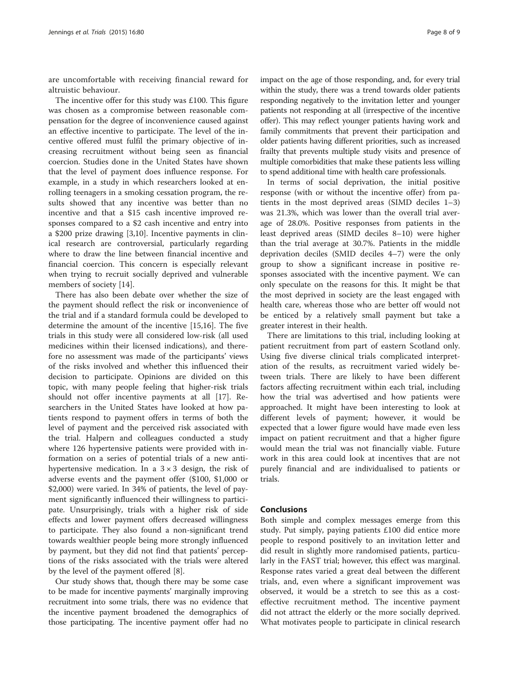are uncomfortable with receiving financial reward for altruistic behaviour.

The incentive offer for this study was £100. This figure was chosen as a compromise between reasonable compensation for the degree of inconvenience caused against an effective incentive to participate. The level of the incentive offered must fulfil the primary objective of increasing recruitment without being seen as financial coercion. Studies done in the United States have shown that the level of payment does influence response. For example, in a study in which researchers looked at enrolling teenagers in a smoking cessation program, the results showed that any incentive was better than no incentive and that a \$15 cash incentive improved responses compared to a \$2 cash incentive and entry into a \$200 prize drawing [\[3,10\]](#page-8-0). Incentive payments in clinical research are controversial, particularly regarding where to draw the line between financial incentive and financial coercion. This concern is especially relevant when trying to recruit socially deprived and vulnerable members of society [\[14](#page-8-0)].

There has also been debate over whether the size of the payment should reflect the risk or inconvenience of the trial and if a standard formula could be developed to determine the amount of the incentive [[15](#page-8-0),[16](#page-8-0)]. The five trials in this study were all considered low-risk (all used medicines within their licensed indications), and therefore no assessment was made of the participants' views of the risks involved and whether this influenced their decision to participate. Opinions are divided on this topic, with many people feeling that higher-risk trials should not offer incentive payments at all [\[17](#page-8-0)]. Researchers in the United States have looked at how patients respond to payment offers in terms of both the level of payment and the perceived risk associated with the trial. Halpern and colleagues conducted a study where 126 hypertensive patients were provided with information on a series of potential trials of a new antihypertensive medication. In a  $3 \times 3$  design, the risk of adverse events and the payment offer (\$100, \$1,000 or \$2,000) were varied. In 34% of patients, the level of payment significantly influenced their willingness to participate. Unsurprisingly, trials with a higher risk of side effects and lower payment offers decreased willingness to participate. They also found a non-significant trend towards wealthier people being more strongly influenced by payment, but they did not find that patients' perceptions of the risks associated with the trials were altered by the level of the payment offered [[8\]](#page-8-0).

Our study shows that, though there may be some case to be made for incentive payments' marginally improving recruitment into some trials, there was no evidence that the incentive payment broadened the demographics of those participating. The incentive payment offer had no impact on the age of those responding, and, for every trial within the study, there was a trend towards older patients

responding negatively to the invitation letter and younger patients not responding at all (irrespective of the incentive offer). This may reflect younger patients having work and family commitments that prevent their participation and older patients having different priorities, such as increased frailty that prevents multiple study visits and presence of multiple comorbidities that make these patients less willing to spend additional time with health care professionals.

In terms of social deprivation, the initial positive response (with or without the incentive offer) from patients in the most deprived areas (SIMD deciles 1–3) was 21.3%, which was lower than the overall trial average of 28.0%. Positive responses from patients in the least deprived areas (SIMD deciles 8–10) were higher than the trial average at 30.7%. Patients in the middle deprivation deciles (SMID deciles 4–7) were the only group to show a significant increase in positive responses associated with the incentive payment. We can only speculate on the reasons for this. It might be that the most deprived in society are the least engaged with health care, whereas those who are better off would not be enticed by a relatively small payment but take a greater interest in their health.

There are limitations to this trial, including looking at patient recruitment from part of eastern Scotland only. Using five diverse clinical trials complicated interpretation of the results, as recruitment varied widely between trials. There are likely to have been different factors affecting recruitment within each trial, including how the trial was advertised and how patients were approached. It might have been interesting to look at different levels of payment; however, it would be expected that a lower figure would have made even less impact on patient recruitment and that a higher figure would mean the trial was not financially viable. Future work in this area could look at incentives that are not purely financial and are individualised to patients or trials.

## Conclusions

Both simple and complex messages emerge from this study. Put simply, paying patients £100 did entice more people to respond positively to an invitation letter and did result in slightly more randomised patients, particularly in the FAST trial; however, this effect was marginal. Response rates varied a great deal between the different trials, and, even where a significant improvement was observed, it would be a stretch to see this as a costeffective recruitment method. The incentive payment did not attract the elderly or the more socially deprived. What motivates people to participate in clinical research